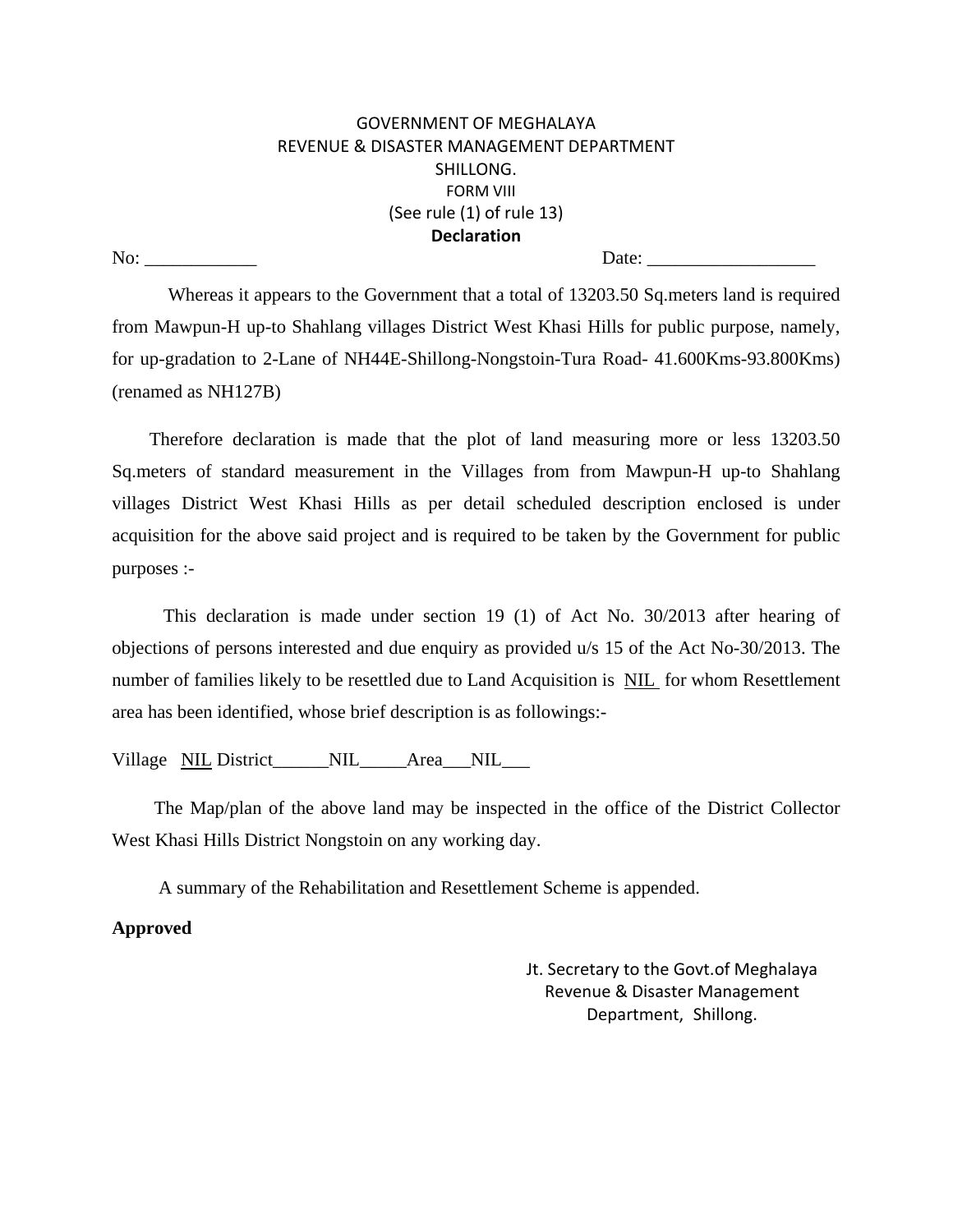## GOVERNMENT OF MEGHALAYA REVENUE & DISASTER MANAGEMENT DEPARTMENT SHILLONG. FORM VIII (See rule (1) of rule 13) **Declaration** No: \_\_\_\_\_\_\_\_\_\_\_\_ Date: \_\_\_\_\_\_\_\_\_\_\_\_\_\_\_\_\_\_

 Whereas it appears to the Government that a total of 13203.50 Sq.meters land is required from Mawpun-H up-to Shahlang villages District West Khasi Hills for public purpose, namely, for up-gradation to 2-Lane of NH44E-Shillong-Nongstoin-Tura Road- 41.600Kms-93.800Kms) (renamed as NH127B)

 Therefore declaration is made that the plot of land measuring more or less 13203.50 Sq.meters of standard measurement in the Villages from from Mawpun-H up-to Shahlang villages District West Khasi Hills as per detail scheduled description enclosed is under acquisition for the above said project and is required to be taken by the Government for public purposes :-

 This declaration is made under section 19 (1) of Act No. 30/2013 after hearing of objections of persons interested and due enquiry as provided u/s 15 of the Act No-30/2013. The number of families likely to be resettled due to Land Acquisition is NIL for whom Resettlement area has been identified, whose brief description is as followings:-

Village NIL District\_\_\_\_\_\_NIL\_\_\_\_\_Area\_\_NIL\_\_\_

 The Map/plan of the above land may be inspected in the office of the District Collector West Khasi Hills District Nongstoin on any working day.

A summary of the Rehabilitation and Resettlement Scheme is appended.

## **Approved**

Jt. Secretary to the Govt.of Meghalaya Revenue & Disaster Management Department,Shillong.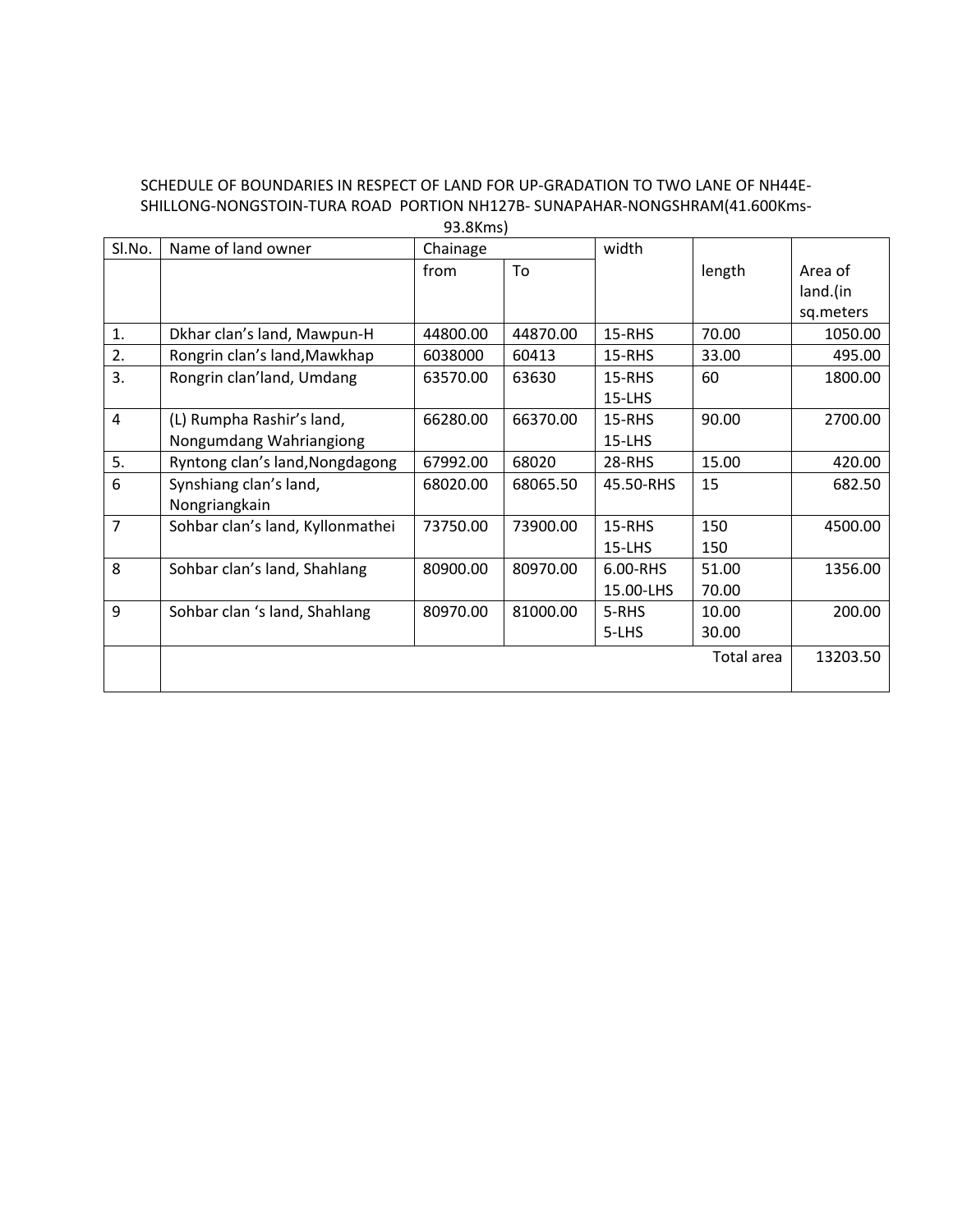# SCHEDULE OF BOUNDARIES IN RESPECT OF LAND FOR UP-GRADATION TO TWO LANE OF NH44E-SHILLONG-NONGSTOIN-TURA ROAD PORTION NH127B- SUNAPAHAR-NONGSHRAM(41.600Kms-

| Sl.No. | Name of land owner               | Chainage |          | width         |            |           |
|--------|----------------------------------|----------|----------|---------------|------------|-----------|
|        |                                  | from     | To       |               | length     | Area of   |
|        |                                  |          |          |               |            | land.(in  |
|        |                                  |          |          |               |            | sq.meters |
| 1.     | Dkhar clan's land, Mawpun-H      | 44800.00 | 44870.00 | $15$ -RHS     | 70.00      | 1050.00   |
| 2.     | Rongrin clan's land, Mawkhap     | 6038000  | 60413    | <b>15-RHS</b> | 33.00      | 495.00    |
| 3.     | Rongrin clan'land, Umdang        | 63570.00 | 63630    | 15-RHS        | 60         | 1800.00   |
|        |                                  |          |          | $15-LHS$      |            |           |
| 4      | (L) Rumpha Rashir's land,        | 66280.00 | 66370.00 | 15-RHS        | 90.00      | 2700.00   |
|        | Nongumdang Wahriangiong          |          |          | $15-LHS$      |            |           |
| 5.     | Ryntong clan's land, Nongdagong  | 67992.00 | 68020    | 28-RHS        | 15.00      | 420.00    |
| 6      | Synshiang clan's land,           | 68020.00 | 68065.50 | 45.50-RHS     | 15         | 682.50    |
|        | Nongriangkain                    |          |          |               |            |           |
| 7      | Sohbar clan's land, Kyllonmathei | 73750.00 | 73900.00 | 15-RHS        | 150        | 4500.00   |
|        |                                  |          |          | 15-LHS        | 150        |           |
| 8      | Sohbar clan's land, Shahlang     | 80900.00 | 80970.00 | 6.00-RHS      | 51.00      | 1356.00   |
|        |                                  |          |          | 15.00-LHS     | 70.00      |           |
| 9      | Sohbar clan 's land, Shahlang    | 80970.00 | 81000.00 | 5-RHS         | 10.00      | 200.00    |
|        |                                  |          |          | 5-LHS         | 30.00      |           |
|        |                                  |          |          |               | Total area | 13203.50  |
|        |                                  |          |          |               |            |           |
|        |                                  |          |          |               |            |           |

93.8Kms)